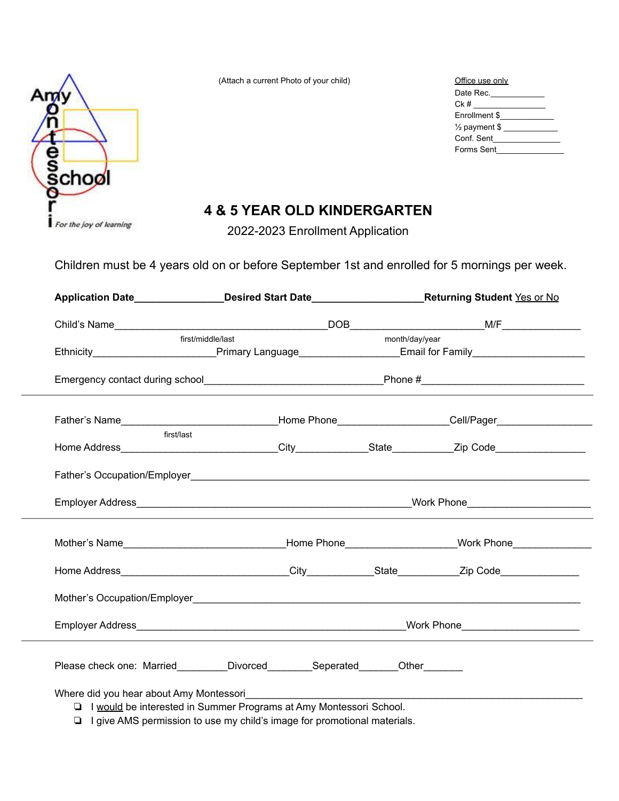

(Attach a current Photo of your child) Office use only use of  $Qf$ 

| Office use only          |
|--------------------------|
| Date Rec.                |
| Ck #                     |
| Enrollment \$            |
| $\frac{1}{2}$ payment \$ |
| Conf. Sent               |
| Forms Sent               |

## **4 & 5 YEAR OLD KINDERGARTEN**

2022-2023 Enrollment Application

Children must be 4 years old on or before September 1st and enrolled for 5 mornings per week.

|                                                                                                                                                                                                                                           |                                                                      | Application Date_________________Desired Start Date_______________________Returning Student Yes or No          |                |  |
|-------------------------------------------------------------------------------------------------------------------------------------------------------------------------------------------------------------------------------------------|----------------------------------------------------------------------|----------------------------------------------------------------------------------------------------------------|----------------|--|
|                                                                                                                                                                                                                                           |                                                                      |                                                                                                                |                |  |
|                                                                                                                                                                                                                                           | first/middle/last                                                    |                                                                                                                | month/day/year |  |
|                                                                                                                                                                                                                                           |                                                                      | Ethnicity_____________________________Primary Language__________________________Email for Family______________ |                |  |
| Emergency contact during school expansion of the control of the Phone #                                                                                                                                                                   |                                                                      |                                                                                                                |                |  |
| Father's Name___________________________________Home Phone_____________________Cell/Pager_________________                                                                                                                                |                                                                      |                                                                                                                |                |  |
| first/last                                                                                                                                                                                                                                |                                                                      |                                                                                                                |                |  |
|                                                                                                                                                                                                                                           |                                                                      |                                                                                                                |                |  |
|                                                                                                                                                                                                                                           |                                                                      |                                                                                                                |                |  |
| Mother's Name <b>Example 2018</b> Mother's Name <b>Contract Contract Contract Contract Contract Contract Contract Contract Contract Contract Contract Contract Contract Contract Contract Contract Contract Contract Contract Contrac</b> |                                                                      |                                                                                                                |                |  |
|                                                                                                                                                                                                                                           |                                                                      |                                                                                                                |                |  |
|                                                                                                                                                                                                                                           |                                                                      |                                                                                                                |                |  |
|                                                                                                                                                                                                                                           |                                                                      |                                                                                                                |                |  |
| Please check one: Married_________Divorced_________Seperated_______Other_______                                                                                                                                                           |                                                                      |                                                                                                                |                |  |
| Where did you hear about Amy Montessori                                                                                                                                                                                                   | □ I would be interested in Summer Programs at Amy Montessori School. |                                                                                                                |                |  |

❏ I give AMS permission to use my child's image for promotional materials.